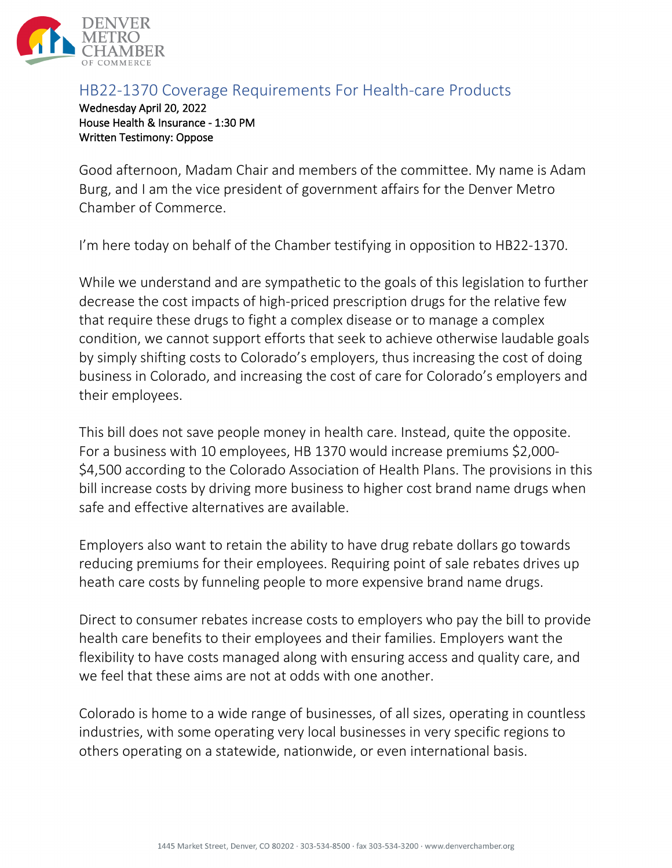

## HB22-1370 Coverage Requirements For Health-care Products

Wednesday April 20, 2022 House Health & Insurance - 1:30 PM Written Testimony: Oppose

Good afternoon, Madam Chair and members of the committee. My name is Adam Burg, and I am the vice president of government affairs for the Denver Metro Chamber of Commerce.

I'm here today on behalf of the Chamber testifying in opposition to HB22-1370.

While we understand and are sympathetic to the goals of this legislation to further decrease the cost impacts of high-priced prescription drugs for the relative few that require these drugs to fight a complex disease or to manage a complex condition, we cannot support efforts that seek to achieve otherwise laudable goals by simply shifting costs to Colorado's employers, thus increasing the cost of doing business in Colorado, and increasing the cost of care for Colorado's employers and their employees.

This bill does not save people money in health care. Instead, quite the opposite. For a business with 10 employees, HB 1370 would increase premiums \$2,000- \$4,500 according to the Colorado Association of Health Plans. The provisions in this bill increase costs by driving more business to higher cost brand name drugs when safe and effective alternatives are available.

Employers also want to retain the ability to have drug rebate dollars go towards reducing premiums for their employees. Requiring point of sale rebates drives up heath care costs by funneling people to more expensive brand name drugs.

Direct to consumer rebates increase costs to employers who pay the bill to provide health care benefits to their employees and their families. Employers want the flexibility to have costs managed along with ensuring access and quality care, and we feel that these aims are not at odds with one another.

Colorado is home to a wide range of businesses, of all sizes, operating in countless industries, with some operating very local businesses in very specific regions to others operating on a statewide, nationwide, or even international basis.